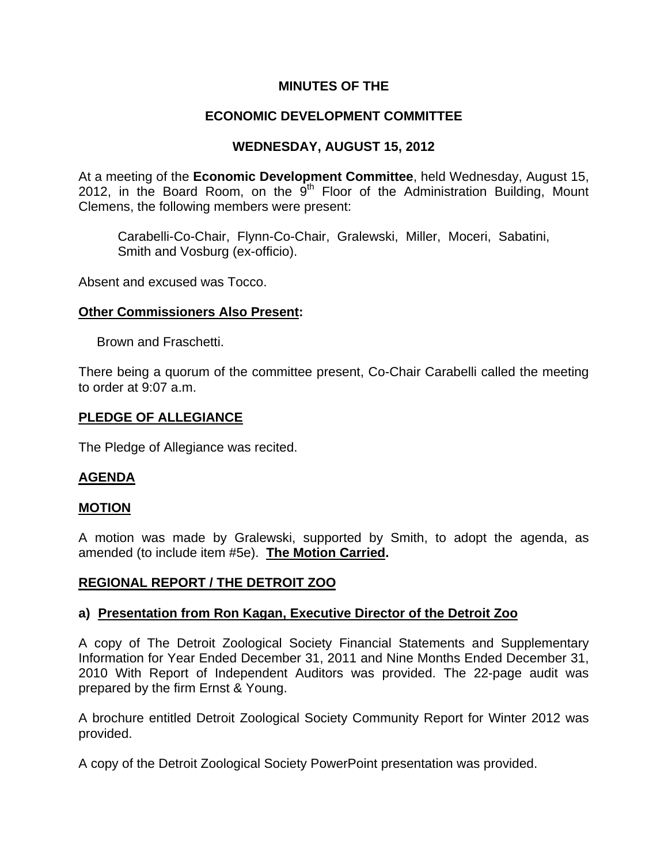# **MINUTES OF THE**

# **ECONOMIC DEVELOPMENT COMMITTEE**

# **WEDNESDAY, AUGUST 15, 2012**

At a meeting of the **Economic Development Committee**, held Wednesday, August 15, 2012, in the Board Room, on the  $9<sup>th</sup>$  Floor of the Administration Building, Mount Clemens, the following members were present:

Carabelli-Co-Chair, Flynn-Co-Chair, Gralewski, Miller, Moceri, Sabatini, Smith and Vosburg (ex-officio).

Absent and excused was Tocco.

### **Other Commissioners Also Present:**

Brown and Fraschetti.

There being a quorum of the committee present, Co-Chair Carabelli called the meeting to order at 9:07 a.m.

### **PLEDGE OF ALLEGIANCE**

The Pledge of Allegiance was recited.

## **AGENDA**

#### **MOTION**

A motion was made by Gralewski, supported by Smith, to adopt the agenda, as amended (to include item #5e). **The Motion Carried.** 

#### **REGIONAL REPORT / THE DETROIT ZOO**

#### **a) Presentation from Ron Kagan, Executive Director of the Detroit Zoo**

A copy of The Detroit Zoological Society Financial Statements and Supplementary Information for Year Ended December 31, 2011 and Nine Months Ended December 31, 2010 With Report of Independent Auditors was provided. The 22-page audit was prepared by the firm Ernst & Young.

A brochure entitled Detroit Zoological Society Community Report for Winter 2012 was provided.

A copy of the Detroit Zoological Society PowerPoint presentation was provided.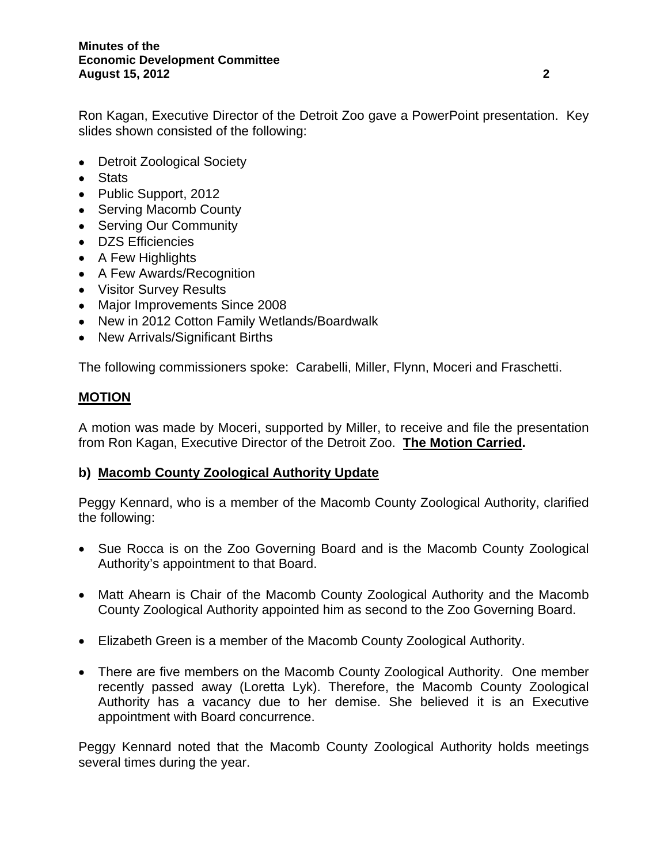Ron Kagan, Executive Director of the Detroit Zoo gave a PowerPoint presentation. Key slides shown consisted of the following:

- Detroit Zoological Society
- Stats
- Public Support, 2012
- Serving Macomb County
- Serving Our Community
- DZS Efficiencies
- A Few Highlights
- A Few Awards/Recognition
- Visitor Survey Results
- Major Improvements Since 2008
- New in 2012 Cotton Family Wetlands/Boardwalk
- New Arrivals/Significant Births

The following commissioners spoke: Carabelli, Miller, Flynn, Moceri and Fraschetti.

## **MOTION**

A motion was made by Moceri, supported by Miller, to receive and file the presentation from Ron Kagan, Executive Director of the Detroit Zoo. **The Motion Carried.** 

## **b) Macomb County Zoological Authority Update**

Peggy Kennard, who is a member of the Macomb County Zoological Authority, clarified the following:

- Sue Rocca is on the Zoo Governing Board and is the Macomb County Zoological Authority's appointment to that Board.
- Matt Ahearn is Chair of the Macomb County Zoological Authority and the Macomb County Zoological Authority appointed him as second to the Zoo Governing Board.
- Elizabeth Green is a member of the Macomb County Zoological Authority.
- There are five members on the Macomb County Zoological Authority. One member recently passed away (Loretta Lyk). Therefore, the Macomb County Zoological Authority has a vacancy due to her demise. She believed it is an Executive appointment with Board concurrence.

Peggy Kennard noted that the Macomb County Zoological Authority holds meetings several times during the year.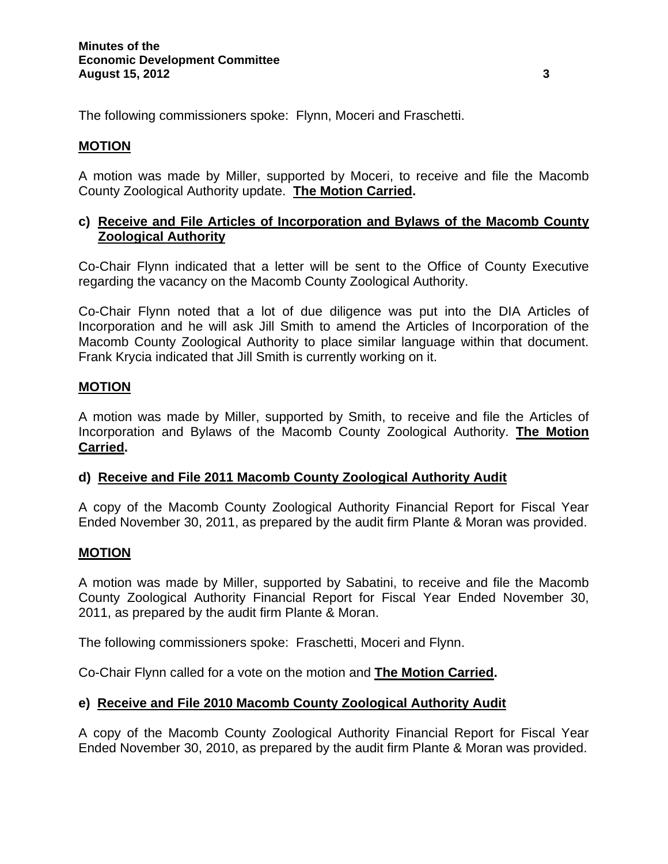The following commissioners spoke: Flynn, Moceri and Fraschetti.

# **MOTION**

A motion was made by Miller, supported by Moceri, to receive and file the Macomb County Zoological Authority update. **The Motion Carried.** 

# **c) Receive and File Articles of Incorporation and Bylaws of the Macomb County Zoological Authority**

Co-Chair Flynn indicated that a letter will be sent to the Office of County Executive regarding the vacancy on the Macomb County Zoological Authority.

Co-Chair Flynn noted that a lot of due diligence was put into the DIA Articles of Incorporation and he will ask Jill Smith to amend the Articles of Incorporation of the Macomb County Zoological Authority to place similar language within that document. Frank Krycia indicated that Jill Smith is currently working on it.

# **MOTION**

A motion was made by Miller, supported by Smith, to receive and file the Articles of Incorporation and Bylaws of the Macomb County Zoological Authority. **The Motion Carried.** 

## **d) Receive and File 2011 Macomb County Zoological Authority Audit**

A copy of the Macomb County Zoological Authority Financial Report for Fiscal Year Ended November 30, 2011, as prepared by the audit firm Plante & Moran was provided.

## **MOTION**

A motion was made by Miller, supported by Sabatini, to receive and file the Macomb County Zoological Authority Financial Report for Fiscal Year Ended November 30, 2011, as prepared by the audit firm Plante & Moran.

The following commissioners spoke: Fraschetti, Moceri and Flynn.

Co-Chair Flynn called for a vote on the motion and **The Motion Carried.** 

## **e) Receive and File 2010 Macomb County Zoological Authority Audit**

A copy of the Macomb County Zoological Authority Financial Report for Fiscal Year Ended November 30, 2010, as prepared by the audit firm Plante & Moran was provided.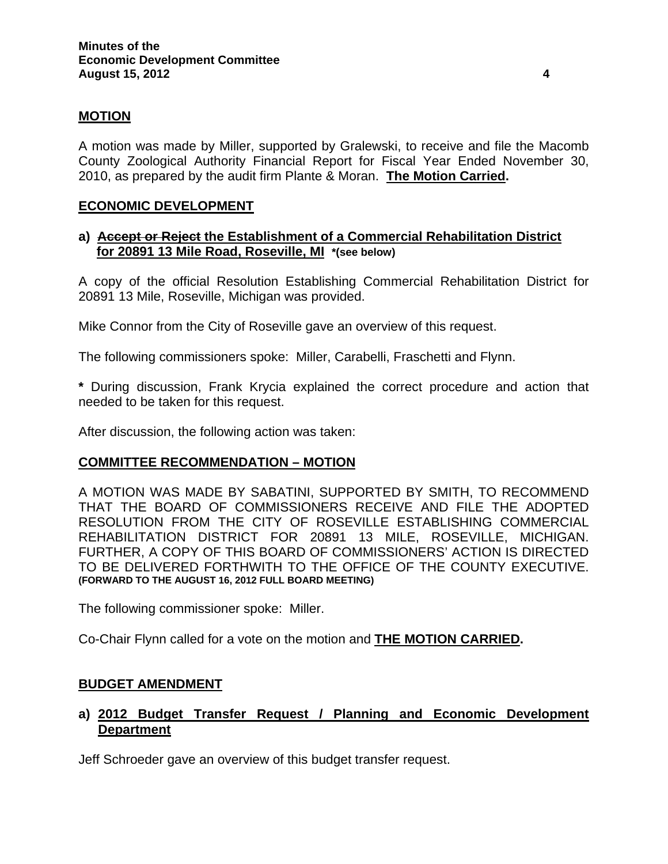### **MOTION**

A motion was made by Miller, supported by Gralewski, to receive and file the Macomb County Zoological Authority Financial Report for Fiscal Year Ended November 30, 2010, as prepared by the audit firm Plante & Moran. **The Motion Carried.** 

#### **ECONOMIC DEVELOPMENT**

### **a) Accept or Reject the Establishment of a Commercial Rehabilitation District for 20891 13 Mile Road, Roseville, MI \*(see below)**

A copy of the official Resolution Establishing Commercial Rehabilitation District for 20891 13 Mile, Roseville, Michigan was provided.

Mike Connor from the City of Roseville gave an overview of this request.

The following commissioners spoke: Miller, Carabelli, Fraschetti and Flynn.

**\*** During discussion, Frank Krycia explained the correct procedure and action that needed to be taken for this request.

After discussion, the following action was taken:

#### **COMMITTEE RECOMMENDATION – MOTION**

A MOTION WAS MADE BY SABATINI, SUPPORTED BY SMITH, TO RECOMMEND THAT THE BOARD OF COMMISSIONERS RECEIVE AND FILE THE ADOPTED RESOLUTION FROM THE CITY OF ROSEVILLE ESTABLISHING COMMERCIAL REHABILITATION DISTRICT FOR 20891 13 MILE, ROSEVILLE, MICHIGAN. FURTHER, A COPY OF THIS BOARD OF COMMISSIONERS' ACTION IS DIRECTED TO BE DELIVERED FORTHWITH TO THE OFFICE OF THE COUNTY EXECUTIVE. **(FORWARD TO THE AUGUST 16, 2012 FULL BOARD MEETING)** 

The following commissioner spoke: Miller.

Co-Chair Flynn called for a vote on the motion and **THE MOTION CARRIED.** 

#### **BUDGET AMENDMENT**

### **a) 2012 Budget Transfer Request / Planning and Economic Development Department**

Jeff Schroeder gave an overview of this budget transfer request.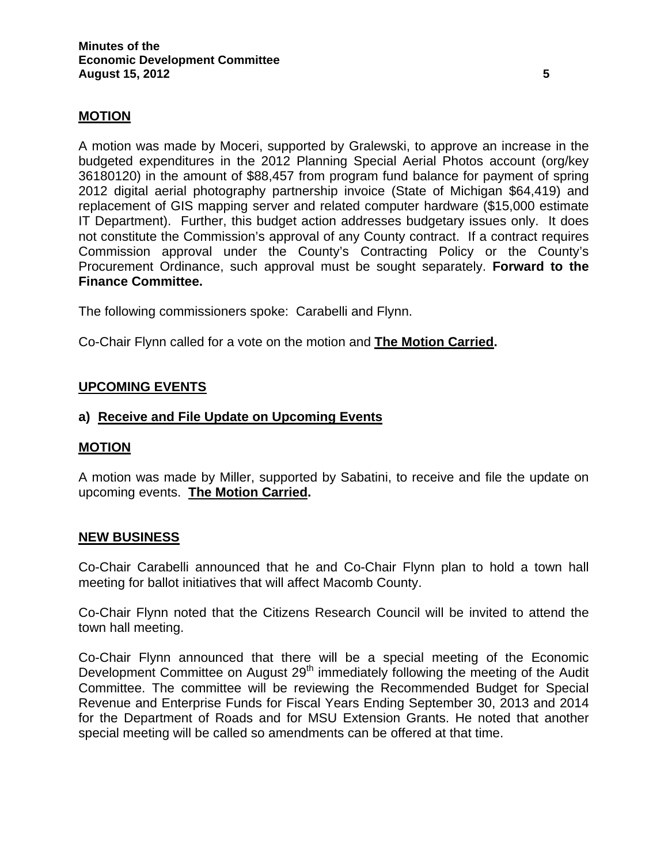### **MOTION**

A motion was made by Moceri, supported by Gralewski, to approve an increase in the budgeted expenditures in the 2012 Planning Special Aerial Photos account (org/key 36180120) in the amount of \$88,457 from program fund balance for payment of spring 2012 digital aerial photography partnership invoice (State of Michigan \$64,419) and replacement of GIS mapping server and related computer hardware (\$15,000 estimate IT Department). Further, this budget action addresses budgetary issues only. It does not constitute the Commission's approval of any County contract. If a contract requires Commission approval under the County's Contracting Policy or the County's Procurement Ordinance, such approval must be sought separately. **Forward to the Finance Committee.** 

The following commissioners spoke: Carabelli and Flynn.

Co-Chair Flynn called for a vote on the motion and **The Motion Carried.** 

### **UPCOMING EVENTS**

#### **a) Receive and File Update on Upcoming Events**

#### **MOTION**

A motion was made by Miller, supported by Sabatini, to receive and file the update on upcoming events. **The Motion Carried.** 

#### **NEW BUSINESS**

Co-Chair Carabelli announced that he and Co-Chair Flynn plan to hold a town hall meeting for ballot initiatives that will affect Macomb County.

Co-Chair Flynn noted that the Citizens Research Council will be invited to attend the town hall meeting.

Co-Chair Flynn announced that there will be a special meeting of the Economic Development Committee on August 29<sup>th</sup> immediately following the meeting of the Audit Committee. The committee will be reviewing the Recommended Budget for Special Revenue and Enterprise Funds for Fiscal Years Ending September 30, 2013 and 2014 for the Department of Roads and for MSU Extension Grants. He noted that another special meeting will be called so amendments can be offered at that time.